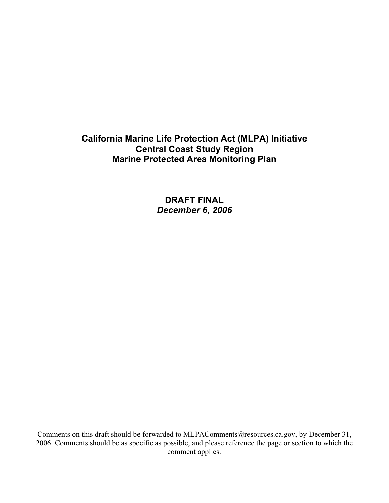**California Marine Life Protection Act (MLPA) Initiative Central Coast Study Region Marine Protected Area Monitoring Plan**

> **DRAFT FINAL** *December 6, 2006*

Comments on this draft should be forwarded to MLPAComments@resources.ca.gov, by December 31, 2006. Comments should be as specific as possible, and please reference the page or section to which the comment applies.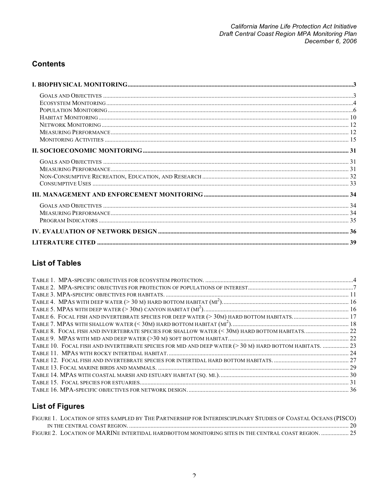# **Contents**

# **List of Tables**

| TABLE 10. FOCAL FISH AND INVERTEBRATE SPECIES FOR MID AND DEEP WATER (> 30 M) HARD BOTTOM HABITATS.  23 |  |
|---------------------------------------------------------------------------------------------------------|--|
|                                                                                                         |  |
|                                                                                                         |  |
|                                                                                                         |  |
|                                                                                                         |  |
|                                                                                                         |  |
|                                                                                                         |  |
|                                                                                                         |  |

# **List of Figures**

| FIGURE 1. LOCATION OF SITES SAMPLED BY THE PARTNERSHIP FOR INTERDISCIPLINARY STUDIES OF COASTAL OCEANS (PISCO) |  |
|----------------------------------------------------------------------------------------------------------------|--|
|                                                                                                                |  |
| FIGURE 2. LOCATION OF MARINE INTERTIDAL HARDBOTTOM MONITORING SITES IN THE CENTRAL COAST REGION.  25           |  |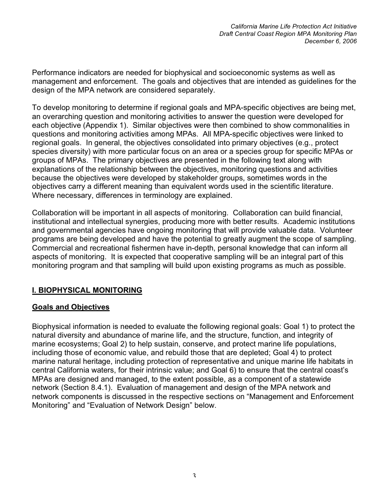Performance indicators are needed for biophysical and socioeconomic systems as well as management and enforcement. The goals and objectives that are intended as guidelines for the design of the MPA network are considered separately.

To develop monitoring to determine if regional goals and MPA-specific objectives are being met, an overarching question and monitoring activities to answer the question were developed for each objective (Appendix 1). Similar objectives were then combined to show commonalities in questions and monitoring activities among MPAs. All MPA-specific objectives were linked to regional goals. In general, the objectives consolidated into primary objectives (e.g., protect species diversity) with more particular focus on an area or a species group for specific MPAs or groups of MPAs. The primary objectives are presented in the following text along with explanations of the relationship between the objectives, monitoring questions and activities because the objectives were developed by stakeholder groups, sometimes words in the objectives carry a different meaning than equivalent words used in the scientific literature. Where necessary, differences in terminology are explained.

Collaboration will be important in all aspects of monitoring. Collaboration can build financial, institutional and intellectual synergies, producing more with better results. Academic institutions and governmental agencies have ongoing monitoring that will provide valuable data. Volunteer programs are being developed and have the potential to greatly augment the scope of sampling. Commercial and recreational fishermen have in-depth, personal knowledge that can inform all aspects of monitoring. It is expected that cooperative sampling will be an integral part of this monitoring program and that sampling will build upon existing programs as much as possible.

## **I. BIOPHYSICAL MONITORING**

## **Goals and Objectives**

Biophysical information is needed to evaluate the following regional goals: Goal 1) to protect the natural diversity and abundance of marine life, and the structure, function, and integrity of marine ecosystems; Goal 2) to help sustain, conserve, and protect marine life populations, including those of economic value, and rebuild those that are depleted; Goal 4) to protect marine natural heritage, including protection of representative and unique marine life habitats in central California waters, for their intrinsic value; and Goal 6) to ensure that the central coast's MPAs are designed and managed, to the extent possible, as a component of a statewide network (Section 8.4.1). Evaluation of management and design of the MPA network and network components is discussed in the respective sections on "Management and Enforcement Monitoring" and "Evaluation of Network Design" below.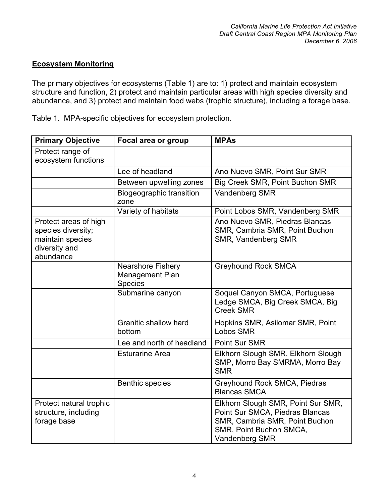## **Ecosystem Monitoring**

The primary objectives for ecosystems (Table 1) are to: 1) protect and maintain ecosystem structure and function, 2) protect and maintain particular areas with high species diversity and abundance, and 3) protect and maintain food webs (trophic structure), including a forage base.

Table 1. MPA-specific objectives for ecosystem protection.

| <b>Primary Objective</b>                                                                      | Focal area or group                                           | <b>MPAs</b>                                                                                                                                          |
|-----------------------------------------------------------------------------------------------|---------------------------------------------------------------|------------------------------------------------------------------------------------------------------------------------------------------------------|
| Protect range of<br>ecosystem functions                                                       |                                                               |                                                                                                                                                      |
|                                                                                               | Lee of headland                                               | Ano Nuevo SMR, Point Sur SMR                                                                                                                         |
|                                                                                               | Between upwelling zones                                       | Big Creek SMR, Point Buchon SMR                                                                                                                      |
|                                                                                               | Biogeographic transition<br>zone                              | Vandenberg SMR                                                                                                                                       |
|                                                                                               | Variety of habitats                                           | Point Lobos SMR, Vandenberg SMR                                                                                                                      |
| Protect areas of high<br>species diversity;<br>maintain species<br>diversity and<br>abundance |                                                               | Ano Nuevo SMR, Piedras Blancas<br>SMR, Cambria SMR, Point Buchon<br>SMR, Vandenberg SMR                                                              |
|                                                                                               | <b>Nearshore Fishery</b><br>Management Plan<br><b>Species</b> | <b>Greyhound Rock SMCA</b>                                                                                                                           |
|                                                                                               | Submarine canyon                                              | Soquel Canyon SMCA, Portuguese<br>Ledge SMCA, Big Creek SMCA, Big<br><b>Creek SMR</b>                                                                |
|                                                                                               | Granitic shallow hard<br>bottom                               | Hopkins SMR, Asilomar SMR, Point<br>Lobos SMR                                                                                                        |
|                                                                                               | Lee and north of headland                                     | Point Sur SMR                                                                                                                                        |
|                                                                                               | <b>Esturarine Area</b>                                        | Elkhorn Slough SMR, Elkhorn Slough<br>SMP, Morro Bay SMRMA, Morro Bay<br><b>SMR</b>                                                                  |
|                                                                                               | <b>Benthic species</b>                                        | Greyhound Rock SMCA, Piedras<br><b>Blancas SMCA</b>                                                                                                  |
| Protect natural trophic<br>structure, including<br>forage base                                |                                                               | Elkhorn Slough SMR, Point Sur SMR,<br>Point Sur SMCA, Piedras Blancas<br>SMR, Cambria SMR, Point Buchon<br>SMR, Point Buchon SMCA,<br>Vandenberg SMR |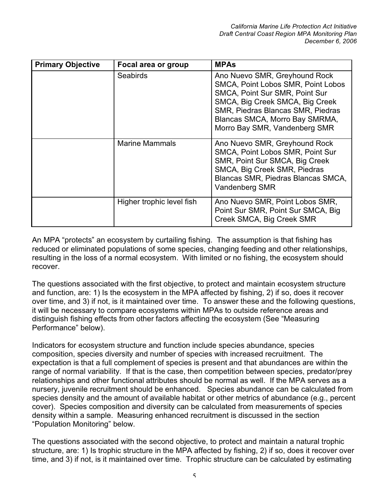| <b>Primary Objective</b> | Focal area or group       | <b>MPAs</b>                                                                                                                                                                                                                                                    |
|--------------------------|---------------------------|----------------------------------------------------------------------------------------------------------------------------------------------------------------------------------------------------------------------------------------------------------------|
|                          | <b>Seabirds</b>           | Ano Nuevo SMR, Greyhound Rock<br><b>SMCA, Point Lobos SMR, Point Lobos</b><br><b>SMCA, Point Sur SMR, Point Sur</b><br>SMCA, Big Creek SMCA, Big Creek<br>SMR, Piedras Blancas SMR, Piedras<br>Blancas SMCA, Morro Bay SMRMA,<br>Morro Bay SMR, Vandenberg SMR |
|                          | <b>Marine Mammals</b>     | Ano Nuevo SMR, Greyhound Rock<br><b>SMCA, Point Lobos SMR, Point Sur</b><br>SMR, Point Sur SMCA, Big Creek<br>SMCA, Big Creek SMR, Piedras<br>Blancas SMR, Piedras Blancas SMCA,<br><b>Vandenberg SMR</b>                                                      |
|                          | Higher trophic level fish | Ano Nuevo SMR, Point Lobos SMR,<br>Point Sur SMR, Point Sur SMCA, Big<br>Creek SMCA, Big Creek SMR                                                                                                                                                             |

An MPA "protects" an ecosystem by curtailing fishing. The assumption is that fishing has reduced or eliminated populations of some species, changing feeding and other relationships, resulting in the loss of a normal ecosystem. With limited or no fishing, the ecosystem should recover.

The questions associated with the first objective, to protect and maintain ecosystem structure and function, are: 1) Is the ecosystem in the MPA affected by fishing, 2) if so, does it recover over time, and 3) if not, is it maintained over time. To answer these and the following questions, it will be necessary to compare ecosystems within MPAs to outside reference areas and distinguish fishing effects from other factors affecting the ecosystem (See "Measuring Performance" below).

Indicators for ecosystem structure and function include species abundance, species composition, species diversity and number of species with increased recruitment. The expectation is that a full complement of species is present and that abundances are within the range of normal variability. If that is the case, then competition between species, predator/prey relationships and other functional attributes should be normal as well. If the MPA serves as a nursery, juvenile recruitment should be enhanced. Species abundance can be calculated from species density and the amount of available habitat or other metrics of abundance (e.g., percent cover). Species composition and diversity can be calculated from measurements of species density within a sample. Measuring enhanced recruitment is discussed in the section "Population Monitoring" below.

The questions associated with the second objective, to protect and maintain a natural trophic structure, are: 1) Is trophic structure in the MPA affected by fishing, 2) if so, does it recover over time, and 3) if not, is it maintained over time. Trophic structure can be calculated by estimating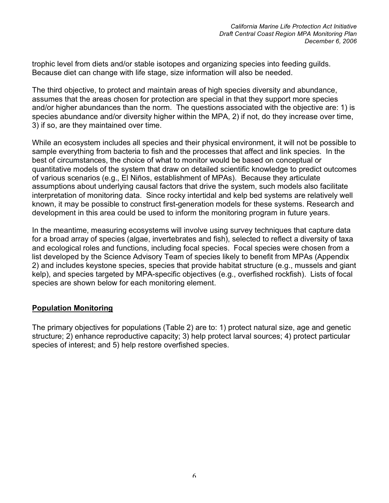trophic level from diets and/or stable isotopes and organizing species into feeding guilds. Because diet can change with life stage, size information will also be needed.

The third objective, to protect and maintain areas of high species diversity and abundance, assumes that the areas chosen for protection are special in that they support more species and/or higher abundances than the norm. The questions associated with the objective are: 1) is species abundance and/or diversity higher within the MPA, 2) if not, do they increase over time, 3) if so, are they maintained over time.

While an ecosystem includes all species and their physical environment, it will not be possible to sample everything from bacteria to fish and the processes that affect and link species. In the best of circumstances, the choice of what to monitor would be based on conceptual or quantitative models of the system that draw on detailed scientific knowledge to predict outcomes of various scenarios (e.g., El Niños, establishment of MPAs). Because they articulate assumptions about underlying causal factors that drive the system, such models also facilitate interpretation of monitoring data. Since rocky intertidal and kelp bed systems are relatively well known, it may be possible to construct first-generation models for these systems. Research and development in this area could be used to inform the monitoring program in future years.

In the meantime, measuring ecosystems will involve using survey techniques that capture data for a broad array of species (algae, invertebrates and fish), selected to reflect a diversity of taxa and ecological roles and functions, including focal species. Focal species were chosen from a list developed by the Science Advisory Team of species likely to benefit from MPAs (Appendix 2) and includes keystone species, species that provide habitat structure (e.g., mussels and giant kelp), and species targeted by MPA-specific objectives (e.g., overfished rockfish). Lists of focal species are shown below for each monitoring element.

#### **Population Monitoring**

The primary objectives for populations (Table 2) are to: 1) protect natural size, age and genetic structure; 2) enhance reproductive capacity; 3) help protect larval sources; 4) protect particular species of interest; and 5) help restore overfished species.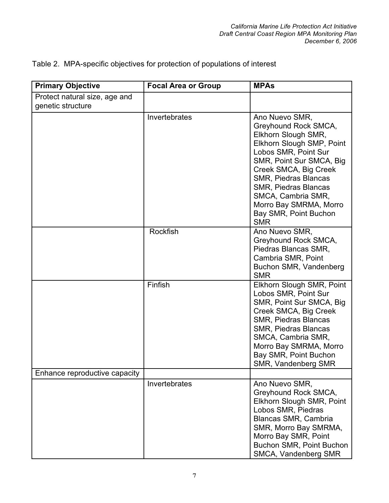| <b>Primary Objective</b>                           | <b>Focal Area or Group</b> | <b>MPAs</b>                                                                                                                                                                                                                                                                                                                  |
|----------------------------------------------------|----------------------------|------------------------------------------------------------------------------------------------------------------------------------------------------------------------------------------------------------------------------------------------------------------------------------------------------------------------------|
| Protect natural size, age and<br>genetic structure |                            |                                                                                                                                                                                                                                                                                                                              |
|                                                    | Invertebrates              | Ano Nuevo SMR,<br>Greyhound Rock SMCA,<br>Elkhorn Slough SMR,<br>Elkhorn Slough SMP, Point<br>Lobos SMR, Point Sur<br>SMR, Point Sur SMCA, Big<br>Creek SMCA, Big Creek<br><b>SMR, Piedras Blancas</b><br><b>SMR, Piedras Blancas</b><br>SMCA, Cambria SMR,<br>Morro Bay SMRMA, Morro<br>Bay SMR, Point Buchon<br><b>SMR</b> |
|                                                    | Rockfish                   | Ano Nuevo SMR,<br>Greyhound Rock SMCA,<br>Piedras Blancas SMR,<br>Cambria SMR, Point<br>Buchon SMR, Vandenberg<br><b>SMR</b>                                                                                                                                                                                                 |
|                                                    | Finfish                    | Elkhorn Slough SMR, Point<br>Lobos SMR, Point Sur<br>SMR, Point Sur SMCA, Big<br>Creek SMCA, Big Creek<br><b>SMR, Piedras Blancas</b><br><b>SMR, Piedras Blancas</b><br>SMCA, Cambria SMR,<br>Morro Bay SMRMA, Morro<br>Bay SMR, Point Buchon<br>SMR, Vandenberg SMR                                                         |
| Enhance reproductive capacity                      |                            |                                                                                                                                                                                                                                                                                                                              |
|                                                    | Invertebrates              | Ano Nuevo SMR,<br>Greyhound Rock SMCA,<br>Elkhorn Slough SMR, Point<br>Lobos SMR, Piedras<br>Blancas SMR, Cambria<br>SMR, Morro Bay SMRMA,<br>Morro Bay SMR, Point<br>Buchon SMR, Point Buchon<br>SMCA, Vandenberg SMR                                                                                                       |

Table 2. MPA-specific objectives for protection of populations of interest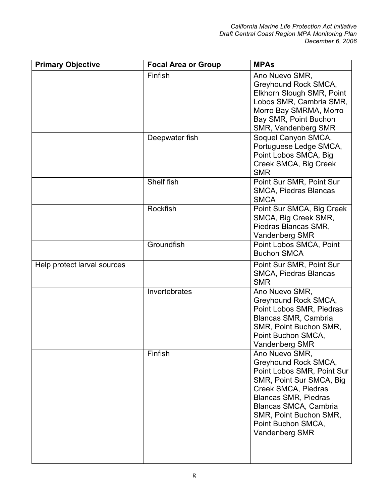| <b>Primary Objective</b>    | <b>Focal Area or Group</b> | <b>MPAs</b>                                                                                                                                                                                                                                              |  |
|-----------------------------|----------------------------|----------------------------------------------------------------------------------------------------------------------------------------------------------------------------------------------------------------------------------------------------------|--|
|                             | Finfish                    | Ano Nuevo SMR,<br>Greyhound Rock SMCA,<br>Elkhorn Slough SMR, Point<br>Lobos SMR, Cambria SMR,<br>Morro Bay SMRMA, Morro<br>Bay SMR, Point Buchon<br>SMR, Vandenberg SMR                                                                                 |  |
|                             | Deepwater fish             | Soquel Canyon SMCA,<br>Portuguese Ledge SMCA,<br>Point Lobos SMCA, Big<br>Creek SMCA, Big Creek<br><b>SMR</b>                                                                                                                                            |  |
|                             | Shelf fish                 | Point Sur SMR, Point Sur<br><b>SMCA, Piedras Blancas</b><br><b>SMCA</b>                                                                                                                                                                                  |  |
|                             | Rockfish                   | Point Sur SMCA, Big Creek<br>SMCA, Big Creek SMR,<br>Piedras Blancas SMR,<br>Vandenberg SMR                                                                                                                                                              |  |
|                             | Groundfish                 | Point Lobos SMCA, Point<br><b>Buchon SMCA</b>                                                                                                                                                                                                            |  |
| Help protect larval sources |                            | Point Sur SMR, Point Sur<br><b>SMCA, Piedras Blancas</b><br><b>SMR</b>                                                                                                                                                                                   |  |
|                             | Invertebrates              | Ano Nuevo SMR,<br>Greyhound Rock SMCA,<br>Point Lobos SMR, Piedras<br>Blancas SMR, Cambria<br>SMR, Point Buchon SMR,<br>Point Buchon SMCA,<br>Vandenberg SMR                                                                                             |  |
|                             | Finfish                    | Ano Nuevo SMR,<br>Greyhound Rock SMCA,<br>Point Lobos SMR, Point Sur<br>SMR, Point Sur SMCA, Big<br>Creek SMCA, Piedras<br><b>Blancas SMR, Piedras</b><br>Blancas SMCA, Cambria<br>SMR, Point Buchon SMR,<br>Point Buchon SMCA,<br><b>Vandenberg SMR</b> |  |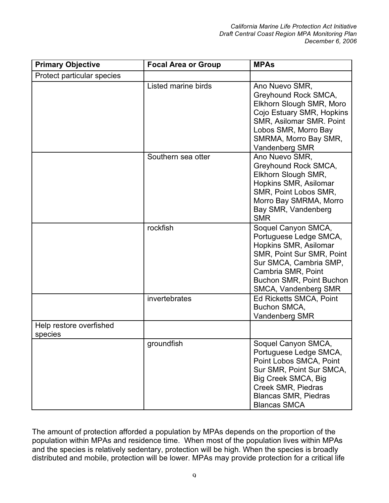| <b>Primary Objective</b>           | <b>Focal Area or Group</b> | <b>MPAs</b>                                                                                                                                                                                                    |
|------------------------------------|----------------------------|----------------------------------------------------------------------------------------------------------------------------------------------------------------------------------------------------------------|
| Protect particular species         |                            |                                                                                                                                                                                                                |
|                                    | Listed marine birds        | Ano Nuevo SMR,<br>Greyhound Rock SMCA,<br>Elkhorn Slough SMR, Moro<br>Cojo Estuary SMR, Hopkins<br>SMR, Asilomar SMR. Point<br>Lobos SMR, Morro Bay<br>SMRMA, Morro Bay SMR,<br>Vandenberg SMR                 |
|                                    | Southern sea otter         | Ano Nuevo SMR,<br>Greyhound Rock SMCA,<br>Elkhorn Slough SMR,<br>Hopkins SMR, Asilomar<br>SMR, Point Lobos SMR,<br>Morro Bay SMRMA, Morro<br>Bay SMR, Vandenberg<br><b>SMR</b>                                 |
|                                    | rockfish                   | Soquel Canyon SMCA,<br>Portuguese Ledge SMCA,<br>Hopkins SMR, Asilomar<br>SMR, Point Sur SMR, Point<br>Sur SMCA, Cambria SMP,<br>Cambria SMR, Point<br>Buchon SMR, Point Buchon<br>SMCA, Vandenberg SMR        |
|                                    | invertebrates              | Ed Ricketts SMCA, Point<br>Buchon SMCA,<br>Vandenberg SMR                                                                                                                                                      |
| Help restore overfished<br>species |                            |                                                                                                                                                                                                                |
|                                    | groundfish                 | Soquel Canyon SMCA,<br>Portuguese Ledge SMCA,<br>Point Lobos SMCA, Point<br>Sur SMR, Point Sur SMCA,<br><b>Big Creek SMCA, Big</b><br>Creek SMR, Piedras<br><b>Blancas SMR, Piedras</b><br><b>Blancas SMCA</b> |

The amount of protection afforded a population by MPAs depends on the proportion of the population within MPAs and residence time. When most of the population lives within MPAs and the species is relatively sedentary, protection will be high. When the species is broadly distributed and mobile, protection will be lower. MPAs may provide protection for a critical life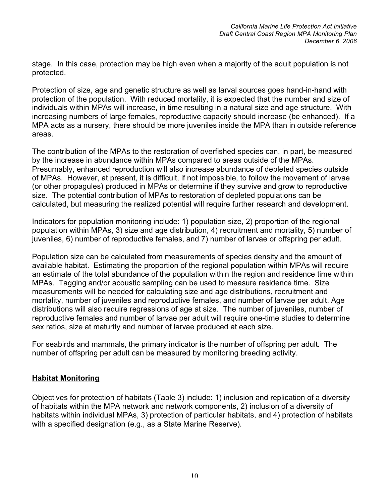stage. In this case, protection may be high even when a majority of the adult population is not protected.

Protection of size, age and genetic structure as well as larval sources goes hand-in-hand with protection of the population. With reduced mortality, it is expected that the number and size of individuals within MPAs will increase, in time resulting in a natural size and age structure. With increasing numbers of large females, reproductive capacity should increase (be enhanced). If a MPA acts as a nursery, there should be more juveniles inside the MPA than in outside reference areas.

The contribution of the MPAs to the restoration of overfished species can, in part, be measured by the increase in abundance within MPAs compared to areas outside of the MPAs. Presumably, enhanced reproduction will also increase abundance of depleted species outside of MPAs. However, at present, it is difficult, if not impossible, to follow the movement of larvae (or other propagules) produced in MPAs or determine if they survive and grow to reproductive size. The potential contribution of MPAs to restoration of depleted populations can be calculated, but measuring the realized potential will require further research and development.

Indicators for population monitoring include: 1) population size, 2) proportion of the regional population within MPAs, 3) size and age distribution, 4) recruitment and mortality, 5) number of juveniles, 6) number of reproductive females, and 7) number of larvae or offspring per adult.

Population size can be calculated from measurements of species density and the amount of available habitat. Estimating the proportion of the regional population within MPAs will require an estimate of the total abundance of the population within the region and residence time within MPAs. Tagging and/or acoustic sampling can be used to measure residence time. Size measurements will be needed for calculating size and age distributions, recruitment and mortality, number of juveniles and reproductive females, and number of larvae per adult. Age distributions will also require regressions of age at size. The number of juveniles, number of reproductive females and number of larvae per adult will require one-time studies to determine sex ratios, size at maturity and number of larvae produced at each size.

For seabirds and mammals, the primary indicator is the number of offspring per adult. The number of offspring per adult can be measured by monitoring breeding activity.

#### **Habitat Monitoring**

Objectives for protection of habitats (Table 3) include: 1) inclusion and replication of a diversity of habitats within the MPA network and network components, 2) inclusion of a diversity of habitats within individual MPAs, 3) protection of particular habitats, and 4) protection of habitats with a specified designation (e.g., as a State Marine Reserve).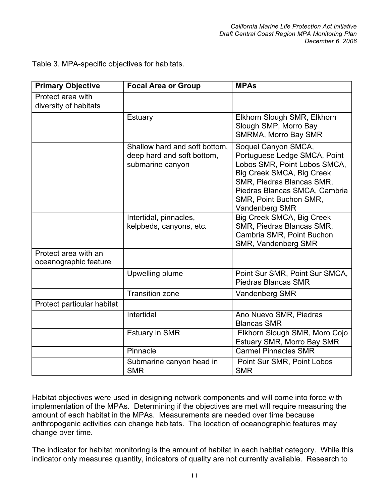| <b>Primary Objective</b>                      | <b>Focal Area or Group</b>                                                      | <b>MPAs</b>                                                                                                                                                                                                                |
|-----------------------------------------------|---------------------------------------------------------------------------------|----------------------------------------------------------------------------------------------------------------------------------------------------------------------------------------------------------------------------|
| Protect area with<br>diversity of habitats    |                                                                                 |                                                                                                                                                                                                                            |
|                                               | <b>Estuary</b>                                                                  | Elkhorn Slough SMR, Elkhorn<br>Slough SMP, Morro Bay<br>SMRMA, Morro Bay SMR                                                                                                                                               |
|                                               | Shallow hard and soft bottom,<br>deep hard and soft bottom,<br>submarine canyon | Soquel Canyon SMCA,<br>Portuguese Ledge SMCA, Point<br>Lobos SMR, Point Lobos SMCA,<br>Big Creek SMCA, Big Creek<br>SMR, Piedras Blancas SMR,<br>Piedras Blancas SMCA, Cambria<br>SMR, Point Buchon SMR,<br>Vandenberg SMR |
|                                               | Intertidal, pinnacles,<br>kelpbeds, canyons, etc.                               | Big Creek SMCA, Big Creek<br>SMR, Piedras Blancas SMR,<br>Cambria SMR, Point Buchon<br>SMR, Vandenberg SMR                                                                                                                 |
| Protect area with an<br>oceanographic feature |                                                                                 |                                                                                                                                                                                                                            |
|                                               | Upwelling plume                                                                 | Point Sur SMR, Point Sur SMCA,<br><b>Piedras Blancas SMR</b>                                                                                                                                                               |
|                                               | <b>Transition zone</b>                                                          | <b>Vandenberg SMR</b>                                                                                                                                                                                                      |
| Protect particular habitat                    |                                                                                 |                                                                                                                                                                                                                            |
|                                               | Intertidal                                                                      | Ano Nuevo SMR, Piedras<br><b>Blancas SMR</b>                                                                                                                                                                               |
|                                               | <b>Estuary in SMR</b>                                                           | Elkhorn Slough SMR, Moro Cojo<br>Estuary SMR, Morro Bay SMR                                                                                                                                                                |
|                                               | Pinnacle                                                                        | <b>Carmel Pinnacles SMR</b>                                                                                                                                                                                                |
|                                               | Submarine canyon head in<br><b>SMR</b>                                          | Point Sur SMR, Point Lobos<br><b>SMR</b>                                                                                                                                                                                   |

Table 3. MPA-specific objectives for habitats.

Habitat objectives were used in designing network components and will come into force with implementation of the MPAs. Determining if the objectives are met will require measuring the amount of each habitat in the MPAs. Measurements are needed over time because anthropogenic activities can change habitats. The location of oceanographic features may change over time.

The indicator for habitat monitoring is the amount of habitat in each habitat category. While this indicator only measures quantity, indicators of quality are not currently available. Research to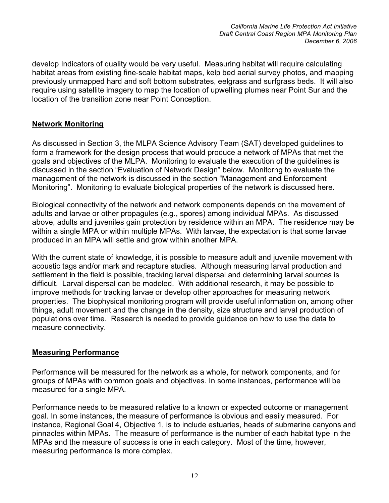develop Indicators of quality would be very useful. Measuring habitat will require calculating habitat areas from existing fine-scale habitat maps, kelp bed aerial survey photos, and mapping previously unmapped hard and soft bottom substrates, eelgrass and surfgrass beds. It will also require using satellite imagery to map the location of upwelling plumes near Point Sur and the location of the transition zone near Point Conception.

#### **Network Monitoring**

As discussed in Section 3, the MLPA Science Advisory Team (SAT) developed guidelines to form a framework for the design process that would produce a network of MPAs that met the goals and objectives of the MLPA. Monitoring to evaluate the execution of the guidelines is discussed in the section "Evaluation of Network Design" below. Monitorng to evaluate the management of the network is discussed in the section "Management and Enforcement Monitoring". Monitoring to evaluate biological properties of the network is discussed here.

Biological connectivity of the network and network components depends on the movement of adults and larvae or other propagules (e.g., spores) among individual MPAs. As discussed above, adults and juveniles gain protection by residence within an MPA. The residence may be within a single MPA or within multiple MPAs. With larvae, the expectation is that some larvae produced in an MPA will settle and grow within another MPA.

With the current state of knowledge, it is possible to measure adult and juvenile movement with acoustic tags and/or mark and recapture studies. Although measuring larval production and settlement in the field is possible, tracking larval dispersal and determining larval sources is difficult. Larval dispersal can be modeled. With additional research, it may be possible to improve methods for tracking larvae or develop other approaches for measuring network properties. The biophysical monitoring program will provide useful information on, among other things, adult movement and the change in the density, size structure and larval production of populations over time. Research is needed to provide guidance on how to use the data to measure connectivity.

## **Measuring Performance**

Performance will be measured for the network as a whole, for network components, and for groups of MPAs with common goals and objectives. In some instances, performance will be measured for a single MPA.

Performance needs to be measured relative to a known or expected outcome or management goal. In some instances, the measure of performance is obvious and easily measured. For instance, Regional Goal 4, Objective 1, is to include estuaries, heads of submarine canyons and pinnacles within MPAs. The measure of performance is the number of each habitat type in the MPAs and the measure of success is one in each category. Most of the time, however, measuring performance is more complex.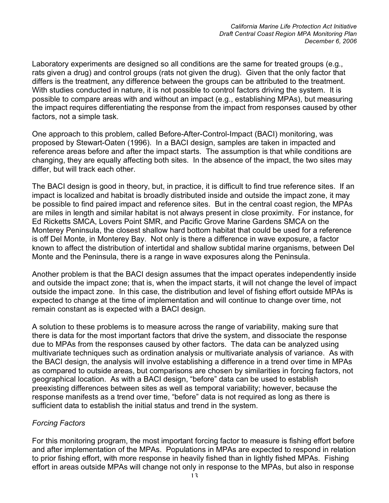Laboratory experiments are designed so all conditions are the same for treated groups (e.g., rats given a drug) and control groups (rats not given the drug). Given that the only factor that differs is the treatment, any difference between the groups can be attributed to the treatment. With studies conducted in nature, it is not possible to control factors driving the system. It is possible to compare areas with and without an impact (e.g., establishing MPAs), but measuring the impact requires differentiating the response from the impact from responses caused by other factors, not a simple task.

One approach to this problem, called Before-After-Control-Impact (BACI) monitoring, was proposed by Stewart-Oaten (1996). In a BACI design, samples are taken in impacted and reference areas before and after the impact starts. The assumption is that while conditions are changing, they are equally affecting both sites. In the absence of the impact, the two sites may differ, but will track each other.

The BACI design is good in theory, but, in practice, it is difficult to find true reference sites. If an impact is localized and habitat is broadly distributed inside and outside the impact zone, it may be possible to find paired impact and reference sites. But in the central coast region, the MPAs are miles in length and similar habitat is not always present in close proximity. For instance, for Ed Ricketts SMCA, Lovers Point SMR, and Pacific Grove Marine Gardens SMCA on the Monterey Peninsula, the closest shallow hard bottom habitat that could be used for a reference is off Del Monte, in Monterey Bay. Not only is there a difference in wave exposure, a factor known to affect the distribution of intertidal and shallow subtidal marine organisms, between Del Monte and the Peninsula, there is a range in wave exposures along the Peninsula.

Another problem is that the BACI design assumes that the impact operates independently inside and outside the impact zone; that is, when the impact starts, it will not change the level of impact outside the impact zone. In this case, the distribution and level of fishing effort outside MPAs is expected to change at the time of implementation and will continue to change over time, not remain constant as is expected with a BACI design.

A solution to these problems is to measure across the range of variability, making sure that there is data for the most important factors that drive the system, and dissociate the response due to MPAs from the responses caused by other factors. The data can be analyzed using multivariate techniques such as ordination analysis or multivariate analysis of variance. As with the BACI design, the analysis will involve establishing a difference in a trend over time in MPAs as compared to outside areas, but comparisons are chosen by similarities in forcing factors, not geographical location. As with a BACI design, "before" data can be used to establish preexisting differences between sites as well as temporal variability; however, because the response manifests as a trend over time, "before" data is not required as long as there is sufficient data to establish the initial status and trend in the system.

#### *Forcing Factors*

For this monitoring program, the most important forcing factor to measure is fishing effort before and after implementation of the MPAs. Populations in MPAs are expected to respond in relation to prior fishing effort, with more response in heavily fished than in lightly fished MPAs. Fishing effort in areas outside MPAs will change not only in response to the MPAs, but also in response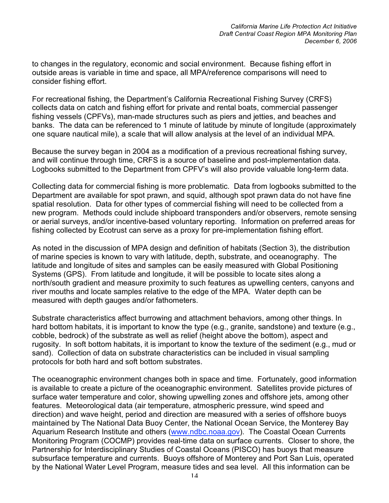to changes in the regulatory, economic and social environment. Because fishing effort in outside areas is variable in time and space, all MPA/reference comparisons will need to consider fishing effort.

For recreational fishing, the Department's California Recreational Fishing Survey (CRFS) collects data on catch and fishing effort for private and rental boats, commercial passenger fishing vessels (CPFVs), man-made structures such as piers and jetties, and beaches and banks. The data can be referenced to 1 minute of latitude by minute of longitude (approximately one square nautical mile), a scale that will allow analysis at the level of an individual MPA.

Because the survey began in 2004 as a modification of a previous recreational fishing survey, and will continue through time, CRFS is a source of baseline and post-implementation data. Logbooks submitted to the Department from CPFV's will also provide valuable long-term data.

Collecting data for commercial fishing is more problematic. Data from logbooks submitted to the Department are available for spot prawn, and squid, although spot prawn data do not have fine spatial resolution. Data for other types of commercial fishing will need to be collected from a new program. Methods could include shipboard transponders and/or observers, remote sensing or aerial surveys, and/or incentive-based voluntary reporting. Information on preferred areas for fishing collected by Ecotrust can serve as a proxy for pre-implementation fishing effort.

As noted in the discussion of MPA design and definition of habitats (Section 3), the distribution of marine species is known to vary with latitude, depth, substrate, and oceanography. The latitude and longitude of sites and samples can be easily measured with Global Positioning Systems (GPS). From latitude and longitude, it will be possible to locate sites along a north/south gradient and measure proximity to such features as upwelling centers, canyons and river mouths and locate samples relative to the edge of the MPA. Water depth can be measured with depth gauges and/or fathometers.

Substrate characteristics affect burrowing and attachment behaviors, among other things. In hard bottom habitats, it is important to know the type (e.g., granite, sandstone) and texture (e.g., cobble, bedrock) of the substrate as well as relief (height above the bottom), aspect and rugosity. In soft bottom habitats, it is important to know the texture of the sediment (e.g., mud or sand). Collection of data on substrate characteristics can be included in visual sampling protocols for both hard and soft bottom substrates.

The oceanographic environment changes both in space and time. Fortunately, good information is available to create a picture of the oceanographic environment. Satellites provide pictures of surface water temperature and color, showing upwelling zones and offshore jets, among other features. Meteorological data (air temperature, atmospheric pressure, wind speed and direction) and wave height, period and direction are measured with a series of offshore buoys maintained by The National Data Buoy Center, the National Ocean Service, the Monterey Bay Aquarium Research Institute and others (www.ndbc.noaa.gov). The Coastal Ocean Currents Monitoring Program (COCMP) provides real-time data on surface currents. Closer to shore, the Partnership for Interdisciplinary Studies of Coastal Oceans (PISCO) has buoys that measure subsurface temperature and currents. Buoys offshore of Monterey and Port San Luis, operated by the National Water Level Program, measure tides and sea level. All this information can be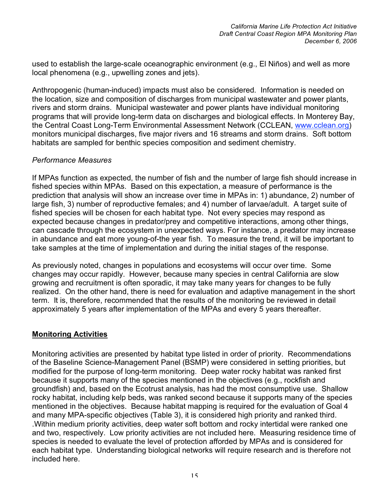used to establish the large-scale oceanographic environment (e.g., El Niños) and well as more local phenomena (e.g., upwelling zones and jets).

Anthropogenic (human-induced) impacts must also be considered. Information is needed on the location, size and composition of discharges from municipal wastewater and power plants, rivers and storm drains. Municipal wastewater and power plants have individual monitoring programs that will provide long-term data on discharges and biological effects. In Monterey Bay, the Central Coast Long-Term Environmental Assessment Network (CCLEAN, www.cclean.org) monitors municipal discharges, five major rivers and 16 streams and storm drains. Soft bottom habitats are sampled for benthic species composition and sediment chemistry.

#### *Performance Measures*

If MPAs function as expected, the number of fish and the number of large fish should increase in fished species within MPAs. Based on this expectation, a measure of performance is the prediction that analysis will show an increase over time in MPAs in: 1) abundance, 2) number of large fish, 3) number of reproductive females; and 4) number of larvae/adult. A target suite of fished species will be chosen for each habitat type. Not every species may respond as expected because changes in predator/prey and competitive interactions, among other things, can cascade through the ecosystem in unexpected ways. For instance, a predator may increase in abundance and eat more young-of-the year fish. To measure the trend, it will be important to take samples at the time of implementation and during the initial stages of the response.

As previously noted, changes in populations and ecosystems will occur over time. Some changes may occur rapidly. However, because many species in central California are slow growing and recruitment is often sporadic, it may take many years for changes to be fully realized. On the other hand, there is need for evaluation and adaptive management in the short term. It is, therefore, recommended that the results of the monitoring be reviewed in detail approximately 5 years after implementation of the MPAs and every 5 years thereafter.

## **Monitoring Activities**

Monitoring activities are presented by habitat type listed in order of priority. Recommendations of the Baseline Science-Management Panel (BSMP) were considered in setting priorities, but modified for the purpose of long-term monitoring. Deep water rocky habitat was ranked first because it supports many of the species mentioned in the objectives (e.g., rockfish and groundfish) and, based on the Ecotrust analysis, has had the most consumptive use. Shallow rocky habitat, including kelp beds, was ranked second because it supports many of the species mentioned in the objectives. Because habitat mapping is required for the evaluation of Goal 4 and many MPA-specific objectives (Table 3), it is considered high priority and ranked third. .Within medium priority activities, deep water soft bottom and rocky intertidal were ranked one and two, respectively. Low priority activities are not included here. Measuring residence time of species is needed to evaluate the level of protection afforded by MPAs and is considered for each habitat type. Understanding biological networks will require research and is therefore not included here.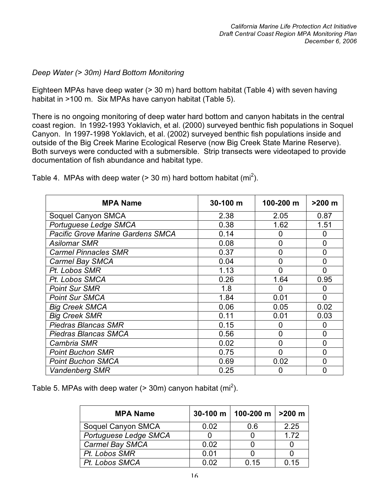#### *Deep Water (> 30m) Hard Bottom Monitoring*

Eighteen MPAs have deep water (> 30 m) hard bottom habitat (Table 4) with seven having habitat in >100 m. Six MPAs have canyon habitat (Table 5).

There is no ongoing monitoring of deep water hard bottom and canyon habitats in the central coast region. In 1992-1993 Yoklavich, et al. (2000) surveyed benthic fish populations in Soquel Canyon. In 1997-1998 Yoklavich, et al. (2002) surveyed benthic fish populations inside and outside of the Big Creek Marine Ecological Reserve (now Big Creek State Marine Reserve). Both surveys were conducted with a submersible. Strip transects were videotaped to provide documentation of fish abundance and habitat type.

| <b>MPA Name</b>                          | 30-100 m | 100-200 m      | $>200$ m       |
|------------------------------------------|----------|----------------|----------------|
| Soquel Canyon SMCA                       | 2.38     | 2.05           | 0.87           |
| Portuguese Ledge SMCA                    | 0.38     | 1.62           | 1.51           |
| <b>Pacific Grove Marine Gardens SMCA</b> | 0.14     | 0              | 0              |
| <b>Asilomar SMR</b>                      | 0.08     | $\overline{0}$ | 0              |
| <b>Carmel Pinnacles SMR</b>              | 0.37     | 0              | 0              |
| <b>Carmel Bay SMCA</b>                   | 0.04     | $\overline{0}$ | $\overline{0}$ |
| Pt. Lobos SMR                            | 1.13     | 0              | $\overline{0}$ |
| Pt. Lobos SMCA                           | 0.26     | 1.64           | 0.95           |
| <b>Point Sur SMR</b>                     | 1.8      | O              | 0              |
| <b>Point Sur SMCA</b>                    | 1.84     | 0.01           | $\overline{0}$ |
| <b>Big Creek SMCA</b>                    | 0.06     | 0.05           | 0.02           |
| <b>Big Creek SMR</b>                     | 0.11     | 0.01           | 0.03           |
| <b>Piedras Blancas SMR</b>               | 0.15     | 0              | 0              |
| <b>Piedras Blancas SMCA</b>              | 0.56     | 0              | 0              |
| Cambria SMR                              | 0.02     | 0              | $\overline{0}$ |
| <b>Point Buchon SMR</b>                  | 0.75     | 0              | $\mathbf 0$    |
| <b>Point Buchon SMCA</b>                 | 0.69     | 0.02           | $\overline{0}$ |
| <b>Vandenberg SMR</b>                    | 0.25     | 0              | 0              |

Table 4. MPAs with deep water (> 30 m) hard bottom habitat (mi<sup>2</sup>).

Table 5. MPAs with deep water (> 30m) canyon habitat (mi<sup>2</sup>).

| <b>MPA Name</b>       | 30-100 m | 100-200 m $ $ | $>200$ m |
|-----------------------|----------|---------------|----------|
| Soquel Canyon SMCA    | 0.02     | 0.6           | 2.25     |
| Portuguese Ledge SMCA |          |               | 1.72     |
| Carmel Bay SMCA       | 0.02     |               |          |
| Pt. Lobos SMR         | 0.01     |               |          |
| Pt. Lobos SMCA        | በ በ2     | 0.15          | 0.15     |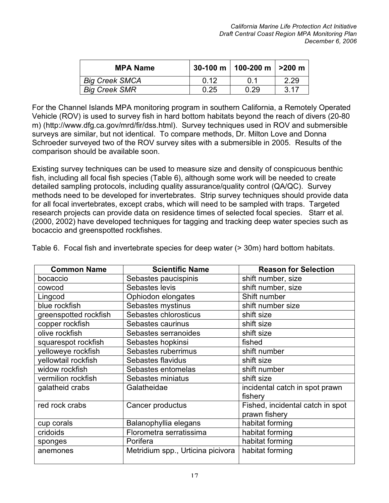| <b>MPA Name</b>       |      | $30-100$ m   100-200 m   >200 m |      |
|-----------------------|------|---------------------------------|------|
| <b>Big Creek SMCA</b> | በ 12 | 0.1                             | 2.29 |
| <b>Big Creek SMR</b>  | 0.25 | 0.29                            | 3.17 |

For the Channel Islands MPA monitoring program in southern California, a Remotely Operated Vehicle (ROV) is used to survey fish in hard bottom habitats beyond the reach of divers (20-80 m) (http://www.dfg.ca.gov/mrd/fir/dss.html). Survey techniques used in ROV and submersible surveys are similar, but not identical. To compare methods, Dr. Milton Love and Donna Schroeder surveyed two of the ROV survey sites with a submersible in 2005. Results of the comparison should be available soon.

Existing survey techniques can be used to measure size and density of conspicuous benthic fish, including all focal fish species (Table 6), although some work will be needed to create detailed sampling protocols, including quality assurance/quality control (QA/QC). Survey methods need to be developed for invertebrates. Strip survey techniques should provide data for all focal invertebrates, except crabs, which will need to be sampled with traps. Targeted research projects can provide data on residence times of selected focal species. Starr et al. (2000, 2002) have developed techniques for tagging and tracking deep water species such as bocaccio and greenspotted rockfishes.

| <b>Common Name</b>    | <b>Scientific Name</b>            | <b>Reason for Selection</b>      |
|-----------------------|-----------------------------------|----------------------------------|
| bocaccio              | Sebastes paucispinis              | shift number, size               |
| cowcod                | Sebastes levis                    | shift number, size               |
| Lingcod               | Ophiodon elongates                | Shift number                     |
| blue rockfish         | Sebastes mystinus                 | shift number size                |
| greenspotted rockfish | Sebastes chlorosticus             | shift size                       |
| copper rockfish       | Sebastes caurinus                 | shift size                       |
| olive rockfish        | Sebastes serranoides              | shift size                       |
| squarespot rockfish   | Sebastes hopkinsi                 | fished                           |
| yelloweye rockfish    | Sebastes ruberrimus               | shift number                     |
| yellowtail rockfish   | Sebastes flavidus                 | shift size                       |
| widow rockfish        | Sebastes entomelas                | shift number                     |
| vermilion rockfish    | Sebastes miniatus                 | shift size                       |
| galatheid crabs       | Galatheidae                       | incidental catch in spot prawn   |
|                       |                                   | fishery                          |
| red rock crabs        | Cancer productus                  | Fished, incidental catch in spot |
|                       |                                   | prawn fishery                    |
| cup corals            | Balanophyllia elegans             | habitat forming                  |
| cridoids              | Florometra serratissima           | habitat forming                  |
| sponges               | Porifera                          | habitat forming                  |
| anemones              | Metridium spp., Urticina picivora | habitat forming                  |
|                       |                                   |                                  |

Table 6. Focal fish and invertebrate species for deep water (> 30m) hard bottom habitats.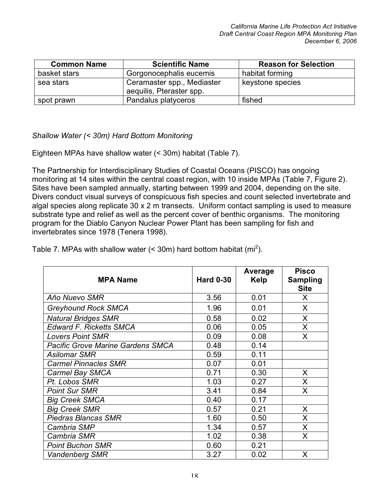| <b>Common Name</b> | <b>Scientific Name</b>                                 | <b>Reason for Selection</b> |
|--------------------|--------------------------------------------------------|-----------------------------|
| basket stars       | Gorgonocephalis eucemis                                | habitat forming             |
| sea stars          | Ceramaster spp., Mediaster<br>aequilis, Pteraster spp. | keystone species            |
| spot prawn         | Pandalus platyceros                                    | fished                      |

*Shallow Water (< 30m) Hard Bottom Monitoring*

Eighteen MPAs have shallow water (< 30m) habitat (Table 7).

The Partnership for Interdisciplinary Studies of Coastal Oceans (PISCO) has ongoing monitoring at 14 sites within the central coast region, with 10 inside MPAs (Table 7, Figure 2). Sites have been sampled annually, starting between 1999 and 2004, depending on the site. Divers conduct visual surveys of conspicuous fish species and count selected invertebrate and algal species along replicate 30 x 2 m transects. Uniform contact sampling is used to measure substrate type and relief as well as the percent cover of benthic organisms. The monitoring program for the Diablo Canyon Nuclear Power Plant has been sampling for fish and invertebrates since 1978 (Tenera 1998).

Table 7. MPAs with shallow water (< 30m) hard bottom habitat (mi<sup>2</sup>).

| <b>MPA Name</b>                          | <b>Hard 0-30</b> | Average<br><b>Kelp</b> | <b>Pisco</b><br><b>Sampling</b><br><b>Site</b> |
|------------------------------------------|------------------|------------------------|------------------------------------------------|
| Año Nuevo SMR                            | 3.56             | 0.01                   | X                                              |
| <b>Greyhound Rock SMCA</b>               | 1.96             | 0.01                   | X                                              |
| <b>Natural Bridges SMR</b>               | 0.58             | 0.02                   | X                                              |
| <b>Edward F. Ricketts SMCA</b>           | 0.06             | 0.05                   | X                                              |
| <b>Lovers Point SMR</b>                  | 0.09             | 0.08                   | X                                              |
| <b>Pacific Grove Marine Gardens SMCA</b> | 0.48             | 0.14                   |                                                |
| Asilomar SMR                             | 0.59             | 0.11                   |                                                |
| <b>Carmel Pinnacles SMR</b>              | 0.07             | 0.01                   |                                                |
| Carmel Bay SMCA                          | 0.71             | 0.30                   | X                                              |
| Pt. Lobos SMR                            | 1.03             | 0.27                   | X                                              |
| <b>Point Sur SMR</b>                     | 3.41             | 0.84                   | X                                              |
| <b>Big Creek SMCA</b>                    | 0.40             | 0.17                   |                                                |
| <b>Big Creek SMR</b>                     | 0.57             | 0.21                   | X                                              |
| <b>Piedras Blancas SMR</b>               | 1.60             | 0.50                   | X                                              |
| Cambria SMP                              | 1.34             | 0.57                   | X                                              |
| Cambria SMR                              | 1.02             | 0.38                   | X                                              |
| <b>Point Buchon SMR</b>                  | 0.60             | 0.21                   |                                                |
| <b>Vandenberg SMR</b>                    | 3.27             | 0.02                   | X                                              |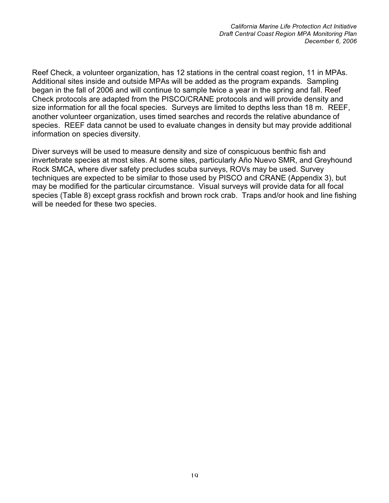Reef Check, a volunteer organization, has 12 stations in the central coast region, 11 in MPAs. Additional sites inside and outside MPAs will be added as the program expands. Sampling began in the fall of 2006 and will continue to sample twice a year in the spring and fall. Reef Check protocols are adapted from the PISCO/CRANE protocols and will provide density and size information for all the focal species. Surveys are limited to depths less than 18 m. REEF, another volunteer organization, uses timed searches and records the relative abundance of species. REEF data cannot be used to evaluate changes in density but may provide additional information on species diversity.

Diver surveys will be used to measure density and size of conspicuous benthic fish and invertebrate species at most sites. At some sites, particularly Año Nuevo SMR, and Greyhound Rock SMCA, where diver safety precludes scuba surveys, ROVs may be used. Survey techniques are expected to be similar to those used by PISCO and CRANE (Appendix 3), but may be modified for the particular circumstance. Visual surveys will provide data for all focal species (Table 8) except grass rockfish and brown rock crab. Traps and/or hook and line fishing will be needed for these two species.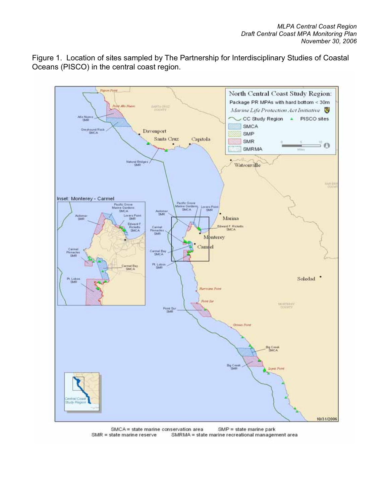Figure 1. Location of sites sampled by The Partnership for Interdisciplinary Studies of Coastal Oceans (PISCO) in the central coast region.



SMCA = state marine conservation area  $SMP = state$  marine park SMR = state marine reserve SMRMA = state marine recreational management area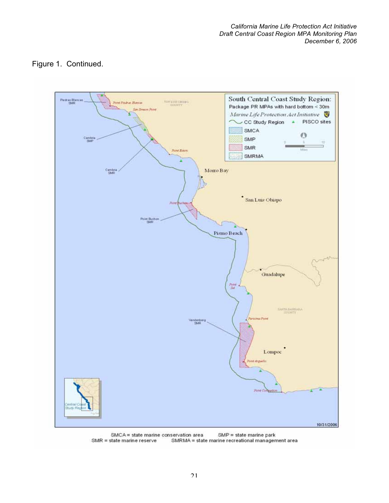



SMCA= state marine conservation area SMP = state marine park  $SMR = state$  marine reserve SMRMA = state marine recreational management area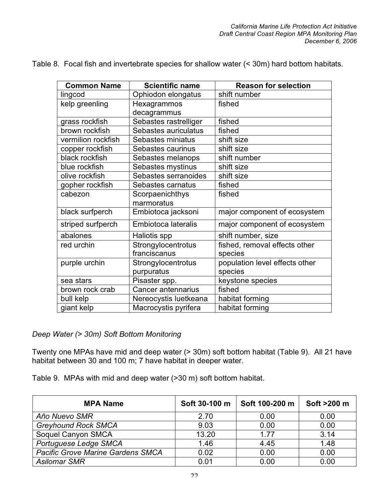| <b>Common Name</b> | <b>Scientific name</b> | <b>Reason for selection</b>    |
|--------------------|------------------------|--------------------------------|
| lingcod            | Ophiodon elongatus     | shift number                   |
| kelp greenling     | Hexagrammos            | fished                         |
|                    | decagrammus            |                                |
| grass rockfish     | Sebastes rastrelliger  | fished                         |
| brown rockfish     | Sebastes auriculatus   | fished                         |
| vermilion rockfish | Sebastes miniatus      | shift size                     |
| copper rockfish    | Sebastes caurinus      | shift size                     |
| black rockfish     | Sebastes melanops      | shift number                   |
| blue rockfish      | Sebastes mystinus      | shift size                     |
| olive rockfish     | Sebastes serranoides   | shift size                     |
| gopher rockfish    | Sebastes carnatus      | fished                         |
| cabezon            | Scorpaenichthys        | fished                         |
|                    | marmoratus             |                                |
| black surfperch    | Embiotoca jacksoni     | major component of ecosystem   |
| striped surfperch  | Embiotoca lateralis    | major component of ecosystem   |
| abalones           | Haliotis spp           | shift number, size             |
| red urchin         | Strongylocentrotus     | fished, removal effects other  |
|                    | franciscanus           | species                        |
| purple urchin      | Strongylocentrotus     | population level effects other |
|                    | purpuratus             | species                        |
| sea stars          | Pisaster spp.          | keystone species               |
| brown rock crab    | Cancer antennarius     | fished                         |
| bull kelp          | Nereocystis luetkeana  | habitat forming                |
| giant kelp         | Macrocystis pyrifera   | habitat forming                |

Table 8. Focal fish and invertebrate species for shallow water (< 30m) hard bottom habitats.

*Deep Water (> 30m) Soft Bottom Monitoring*

Twenty one MPAs have mid and deep water (> 30m) soft bottom habitat (Table 9). All 21 have habitat between 30 and 100 m; 7 have habitat in deeper water.

Table 9. MPAs with mid and deep water (>30 m) soft bottom habitat.

| <b>MPA Name</b>                          | Soft 30-100 m | Soft 100-200 m | Soft >200 m |
|------------------------------------------|---------------|----------------|-------------|
| Año Nuevo SMR                            | 2.70          | 0.00           | 0.00        |
| <b>Greyhound Rock SMCA</b>               | 9.03          | 0.00           | 0.00        |
| Soquel Canyon SMCA                       | 13.20         | 1.77           | 3.14        |
| Portuguese Ledge SMCA                    | 1.46          | 4.45           | 1.48        |
| <b>Pacific Grove Marine Gardens SMCA</b> | 0.02          | 0.00           | 0.00        |
| <b>Asilomar SMR</b>                      | 0.01          | 0.00           | 0.00        |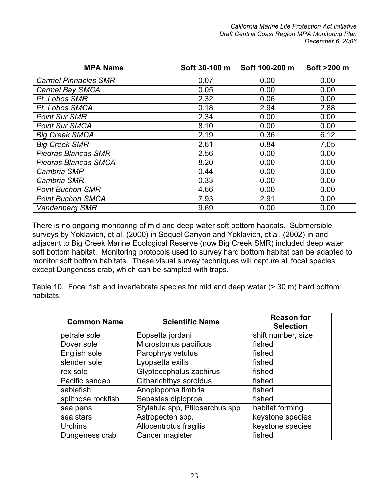| <b>MPA Name</b>             | Soft 30-100 m | Soft 100-200 m | Soft >200 m |
|-----------------------------|---------------|----------------|-------------|
| <b>Carmel Pinnacles SMR</b> | 0.07          | 0.00           | 0.00        |
| <b>Carmel Bay SMCA</b>      | 0.05          | 0.00           | 0.00        |
| Pt. Lobos SMR               | 2.32          | 0.06           | 0.00        |
| Pt. Lobos SMCA              | 0.18          | 2.94           | 2.88        |
| <b>Point Sur SMR</b>        | 2.34          | 0.00           | 0.00        |
| <b>Point Sur SMCA</b>       | 8.10          | 0.00           | 0.00        |
| <b>Big Creek SMCA</b>       | 2.19          | 0.36           | 6.12        |
| <b>Big Creek SMR</b>        | 2.61          | 0.84           | 7.05        |
| <b>Piedras Blancas SMR</b>  | 2.56          | 0.00           | 0.00        |
| <b>Piedras Blancas SMCA</b> | 8.20          | 0.00           | 0.00        |
| Cambria SMP                 | 0.44          | 0.00           | 0.00        |
| Cambria SMR                 | 0.33          | 0.00           | 0.00        |
| <b>Point Buchon SMR</b>     | 4.66          | 0.00           | 0.00        |
| <b>Point Buchon SMCA</b>    | 7.93          | 2.91           | 0.00        |
| Vandenberg SMR              | 9.69          | 0.00           | 0.00        |

There is no ongoing monitoring of mid and deep water soft bottom habitats. Submersible surveys by Yoklavich, et al. (2000) in Soquel Canyon and Yoklavich, et al. (2002) in and adjacent to Big Creek Marine Ecological Reserve (now Big Creek SMR) included deep water soft bottom habitat. Monitoring protocols used to survey hard bottom habitat can be adapted to monitor soft bottom habitats. These visual survey techniques will capture all focal species except Dungeness crab, which can be sampled with traps.

Table 10. Focal fish and invertebrate species for mid and deep water (> 30 m) hard bottom habitats.

| <b>Common Name</b> | <b>Scientific Name</b>          | <b>Reason for</b><br><b>Selection</b> |
|--------------------|---------------------------------|---------------------------------------|
| petrale sole       | Eopsetta jordani                | shift number, size                    |
| Dover sole         | Microstomus pacificus           | fished                                |
| English sole       | Parophrys vetulus               | fished                                |
| slender sole       | Lyopsetta exilis                | fished                                |
| rex sole           | Glyptocephalus zachirus         | fished                                |
| Pacific sandab     | Citharichthys sordidus          | fished                                |
| sablefish          | Anoplopoma fimbria              | fished                                |
| splitnose rockfish | Sebastes diploproa              | fished                                |
| sea pens           | Stylatula spp, Ptilosarchus spp | habitat forming                       |
| sea stars          | Astropecten spp.                | keystone species                      |
| Urchins            | Allocentrotus fragilis          | keystone species                      |
| Dungeness crab     | Cancer magister                 | fished                                |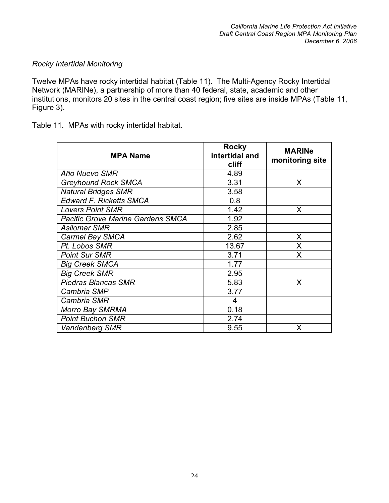#### *Rocky Intertidal Monitoring*

Twelve MPAs have rocky intertidal habitat (Table 11). The Multi-Agency Rocky Intertidal Network (MARINe), a partnership of more than 40 federal, state, academic and other institutions, monitors 20 sites in the central coast region; five sites are inside MPAs (Table 11, Figure 3).

Table 11. MPAs with rocky intertidal habitat.

| <b>MPA Name</b>                          | <b>Rocky</b><br>intertidal and<br>cliff | <b>MARINe</b><br>monitoring site |
|------------------------------------------|-----------------------------------------|----------------------------------|
| Año Nuevo SMR                            | 4.89                                    |                                  |
| <b>Greyhound Rock SMCA</b>               | 3.31                                    | X                                |
| <b>Natural Bridges SMR</b>               | 3.58                                    |                                  |
| <b>Edward F. Ricketts SMCA</b>           | 0.8                                     |                                  |
| <b>Lovers Point SMR</b>                  | 1.42                                    | X                                |
| <b>Pacific Grove Marine Gardens SMCA</b> | 1.92                                    |                                  |
| <b>Asilomar SMR</b>                      | 2.85                                    |                                  |
| <b>Carmel Bay SMCA</b>                   | 2.62                                    | X                                |
| Pt. Lobos SMR                            | 13.67                                   | Χ                                |
| <b>Point Sur SMR</b>                     | 3.71                                    | X                                |
| <b>Big Creek SMCA</b>                    | 1.77                                    |                                  |
| <b>Big Creek SMR</b>                     | 2.95                                    |                                  |
| <b>Piedras Blancas SMR</b>               | 5.83                                    | X                                |
| Cambria SMP                              | 3.77                                    |                                  |
| Cambria SMR                              | 4                                       |                                  |
| Morro Bay SMRMA                          | 0.18                                    |                                  |
| <b>Point Buchon SMR</b>                  | 2.74                                    |                                  |
| Vandenberg SMR                           | 9.55                                    | Χ                                |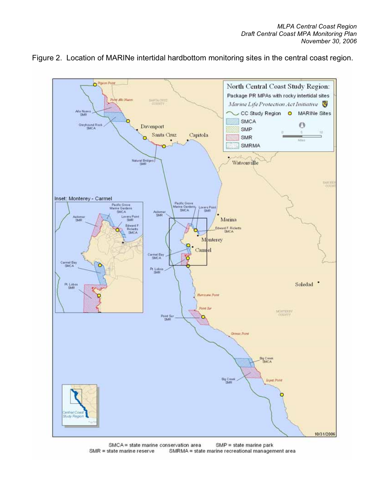

Figure 2. Location of MARINe intertidal hardbottom monitoring sites in the central coast region.

SMCA = state marine conservation area  $SMP = state$  marine park  $SMR = state$  marine reserve SMRMA = state marine recreational management area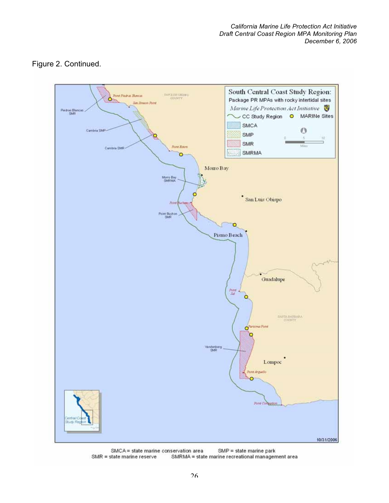



 $SMP = state$  marine park SMCA = state marine conservation area  $SMR = state$  marine reserve SMRMA = state marine recreational management area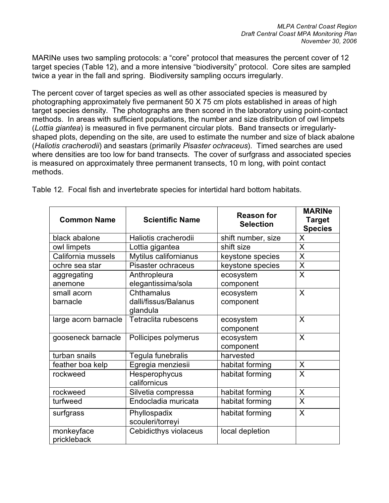MARINe uses two sampling protocols: a "core" protocol that measures the percent cover of 12 target species (Table 12), and a more intensive "biodiversity" protocol. Core sites are sampled twice a year in the fall and spring. Biodiversity sampling occurs irregularly.

The percent cover of target species as well as other associated species is measured by photographing approximately five permanent 50 X 75 cm plots established in areas of high target species density. The photographs are then scored in the laboratory using point-contact methods. In areas with sufficient populations, the number and size distribution of owl limpets (*Lottia giantea*) is measured in five permanent circular plots. Band transects or irregularlyshaped plots, depending on the site, are used to estimate the number and size of black abalone (*Haliotis cracherodii*) and seastars (primarily *Pisaster ochraceus*). Timed searches are used where densities are too low for band transects. The cover of surfgrass and associated species is measured on approximately three permanent transects, 10 m long, with point contact methods.

| <b>Common Name</b>        | <b>Scientific Name</b>                         | <b>Reason for</b><br><b>Selection</b> | <b>MARINe</b><br><b>Target</b><br><b>Species</b> |
|---------------------------|------------------------------------------------|---------------------------------------|--------------------------------------------------|
| black abalone             | Haliotis cracherodii                           | shift number, size                    | X                                                |
| owl limpets               | Lottia gigantea                                | shift size                            | X                                                |
| California mussels        | Mytilus californianus                          | keystone species                      | $\overline{\mathsf{X}}$                          |
| ochre sea star            | Pisaster ochraceus                             | keystone species                      | $\sf X$                                          |
| aggregating<br>anemone    | Anthropleura<br>elegantissima/sola             | ecosystem<br>component                | X                                                |
| small acorn<br>barnacle   | Chthamalus<br>dalli/fissus/Balanus<br>glandula | ecosystem<br>component                | $\sf X$                                          |
| large acorn barnacle      | Tetraclita rubescens                           | ecosystem<br>component                | X                                                |
| gooseneck barnacle        | Pollicipes polymerus                           | ecosystem<br>component                | $\sf X$                                          |
| turban snails             | Tegula funebralis                              | harvested                             |                                                  |
| feather boa kelp          | Egregia menziesii                              | habitat forming                       | X                                                |
| rockweed                  | Hesperophycus<br>californicus                  | habitat forming                       | X                                                |
| rockweed                  | Silvetia compressa                             | habitat forming                       | X                                                |
| turfweed                  | Endocladia muricata                            | habitat forming                       | X                                                |
| surfgrass                 | Phyllospadix<br>scouleri/torreyi               | habitat forming                       | $\sf X$                                          |
| monkeyface<br>prickleback | Cebidicthys violaceus                          | local depletion                       |                                                  |

Table 12. Focal fish and invertebrate species for intertidal hard bottom habitats.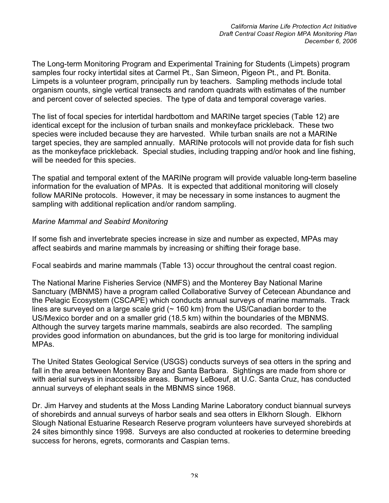The Long-term Monitoring Program and Experimental Training for Students (Limpets) program samples four rocky intertidal sites at Carmel Pt., San Simeon, Pigeon Pt., and Pt. Bonita. Limpets is a volunteer program, principally run by teachers. Sampling methods include total organism counts, single vertical transects and random quadrats with estimates of the number and percent cover of selected species. The type of data and temporal coverage varies.

The list of focal species for intertidal hardbottom and MARINe target species (Table 12) are identical except for the inclusion of turban snails and monkeyface prickleback. These two species were included because they are harvested. While turban snails are not a MARINe target species, they are sampled annually. MARINe protocols will not provide data for fish such as the monkeyface prickleback. Special studies, including trapping and/or hook and line fishing, will be needed for this species.

The spatial and temporal extent of the MARINe program will provide valuable long-term baseline information for the evaluation of MPAs. It is expected that additional monitoring will closely follow MARINe protocols. However, it may be necessary in some instances to augment the sampling with additional replication and/or random sampling.

#### *Marine Mammal and Seabird Monitoring*

If some fish and invertebrate species increase in size and number as expected, MPAs may affect seabirds and marine mammals by increasing or shifting their forage base.

Focal seabirds and marine mammals (Table 13) occur throughout the central coast region.

The National Marine Fisheries Service (NMFS) and the Monterey Bay National Marine Sanctuary (MBNMS) have a program called Collaborative Survey of Cetecean Abundance and the Pelagic Ecosystem (CSCAPE) which conducts annual surveys of marine mammals. Track lines are surveyed on a large scale grid ( $\sim$  160 km) from the US/Canadian border to the US/Mexico border and on a smaller grid (18.5 km) within the boundaries of the MBNMS. Although the survey targets marine mammals, seabirds are also recorded. The sampling provides good information on abundances, but the grid is too large for monitoring individual MPAs.

The United States Geological Service (USGS) conducts surveys of sea otters in the spring and fall in the area between Monterey Bay and Santa Barbara. Sightings are made from shore or with aerial surveys in inaccessible areas. Burney LeBoeuf, at U.C. Santa Cruz, has conducted annual surveys of elephant seals in the MBNMS since 1968.

Dr. Jim Harvey and students at the Moss Landing Marine Laboratory conduct biannual surveys of shorebirds and annual surveys of harbor seals and sea otters in Elkhorn Slough. Elkhorn Slough National Estuarine Research Reserve program volunteers have surveyed shorebirds at 24 sites bimonthly since 1998. Surveys are also conducted at rookeries to determine breeding success for herons, egrets, cormorants and Caspian terns.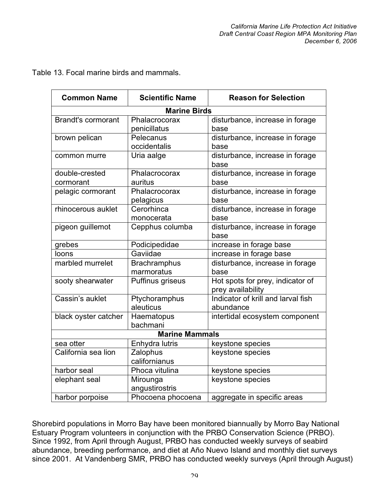| <b>Common Name</b>        | <b>Scientific Name</b> | <b>Reason for Selection</b>                           |
|---------------------------|------------------------|-------------------------------------------------------|
|                           | <b>Marine Birds</b>    |                                                       |
| <b>Brandt's cormorant</b> | Phalacrocorax          | disturbance, increase in forage                       |
|                           | penicillatus           | base                                                  |
| brown pelican             | Pelecanus              | disturbance, increase in forage                       |
|                           | occidentalis           | base                                                  |
| common murre              | Uria aalge             | disturbance, increase in forage<br>base               |
| double-crested            | Phalacrocorax          | disturbance, increase in forage                       |
| cormorant                 | auritus                | base                                                  |
| pelagic cormorant         | Phalacrocorax          | disturbance, increase in forage                       |
|                           | pelagicus              | base                                                  |
| rhinocerous auklet        | Cerorhinca             | disturbance, increase in forage                       |
|                           | monocerata             | base                                                  |
| pigeon guillemot          | Cepphus columba        | disturbance, increase in forage                       |
|                           |                        | base                                                  |
| grebes                    | Podicipedidae          | increase in forage base                               |
| loons                     | Gaviidae               | increase in forage base                               |
| marbled murrelet          | <b>Brachramphus</b>    | disturbance, increase in forage                       |
|                           | marmoratus             | base                                                  |
| sooty shearwater          | Puffinus griseus       | Hot spots for prey, indicator of<br>prey availability |
| Cassin's auklet           | Ptychoramphus          | Indicator of krill and larval fish                    |
|                           | aleuticus              | abundance                                             |
| black oyster catcher      | Haematopus             | intertidal ecosystem component                        |
|                           | bachmani               |                                                       |
|                           | <b>Marine Mammals</b>  |                                                       |
| sea otter                 | Enhydra lutris         | keystone species                                      |
| California sea lion       | Zalophus               | keystone species                                      |
|                           | californianus          |                                                       |
| harbor seal               | Phoca vitulina         | keystone species                                      |
| elephant seal             | Mirounga               | keystone species                                      |
|                           | angustirostris         |                                                       |
| harbor porpoise           | Phocoena phocoena      | aggregate in specific areas                           |

Table 13. Focal marine birds and mammals.

Shorebird populations in Morro Bay have been monitored biannually by Morro Bay National Estuary Program volunteers in conjunction with the PRBO Conservation Science (PRBO). Since 1992, from April through August, PRBO has conducted weekly surveys of seabird abundance, breeding performance, and diet at Año Nuevo Island and monthly diet surveys since 2001. At Vandenberg SMR, PRBO has conducted weekly surveys (April through August)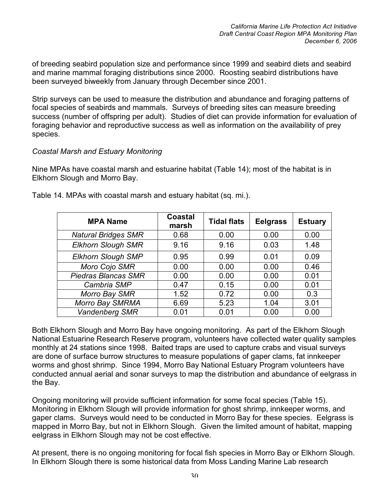of breeding seabird population size and performance since 1999 and seabird diets and seabird and marine mammal foraging distributions since 2000. Roosting seabird distributions have been surveyed biweekly from January through December since 2001.

Strip surveys can be used to measure the distribution and abundance and foraging patterns of focal species of seabirds and mammals. Surveys of breeding sites can measure breeding success (number of offspring per adult). Studies of diet can provide information for evaluation of foraging behavior and reproductive success as well as information on the availability of prey species.

#### *Coastal Marsh and Estuary Monitoring*

Nine MPAs have coastal marsh and estuarine habitat (Table 14); most of the habitat is in Elkhorn Slough and Morro Bay.

| <b>MPA Name</b>            | Coastal<br>marsh | <b>Tidal flats</b> | <b>Eelgrass</b> | <b>Estuary</b> |
|----------------------------|------------------|--------------------|-----------------|----------------|
| <b>Natural Bridges SMR</b> | 0.68             | 0.00               | 0.00            | 0.00           |
| <b>Elkhorn Slough SMR</b>  | 9.16             | 9.16               | 0.03            | 1.48           |
| <b>Elkhorn Slough SMP</b>  | 0.95             | 0.99               | 0.01            | 0.09           |
| Moro Cojo SMR              | 0.00             | 0.00               | 0.00            | 0.46           |
| <b>Piedras Blancas SMR</b> | 0.00             | 0.00               | 0.00            | 0.01           |
| Cambria SMP                | 0.47             | 0.15               | 0.00            | 0.01           |
| Morro Bay SMR              | 1.52             | 0.72               | 0.00            | 0.3            |
| Morro Bay SMRMA            | 6.69             | 5.23               | 1.04            | 3.01           |
| Vandenberg SMR             | 0.01             | 0.01               | 0.00            | 0.00           |

Table 14. MPAs with coastal marsh and estuary habitat (sq. mi.).

Both Elkhorn Slough and Morro Bay have ongoing monitoring. As part of the Elkhorn Slough National Estuarine Research Reserve program, volunteers have collected water quality samples monthly at 24 stations since 1998. Baited traps are used to capture crabs and visual surveys are done of surface burrow structures to measure populations of gaper clams, fat innkeeper worms and ghost shrimp. Since 1994, Morro Bay National Estuary Program volunteers have conducted annual aerial and sonar surveys to map the distribution and abundance of eelgrass in the Bay.

Ongoing monitoring will provide sufficient information for some focal species (Table 15). Monitoring in Elkhorn Slough will provide information for ghost shrimp, innkeeper worms, and gaper clams. Surveys would need to be conducted in Morro Bay for these species. Eelgrass is mapped in Morro Bay, but not in Elkhorn Slough. Given the limited amount of habitat, mapping eelgrass in Elkhorn Slough may not be cost effective.

At present, there is no ongoing monitoring for focal fish species in Morro Bay or Elkhorn Slough. In Elkhorn Slough there is some historical data from Moss Landing Marine Lab research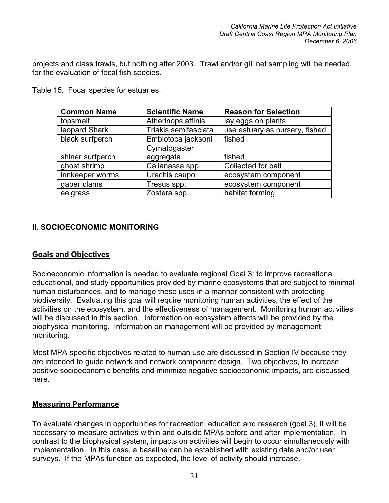projects and class trawls, but nothing after 2003. Trawl and/or gill net sampling will be needed for the evaluation of focal fish species.

| <b>Common Name</b> | <b>Scientific Name</b> | <b>Reason for Selection</b>    |
|--------------------|------------------------|--------------------------------|
| topsmelt           | Atherinops affinis     | lay eggs on plants             |
| leopard Shark      | Triakis semifasciata   | use estuary as nursery, fished |
| black surfperch    | Embiotoca jacksoni     | fished                         |
|                    | Cymatogaster           |                                |
| shiner surfperch   | aggregata              | fished                         |
| ghost shrimp       | Calianassa spp.        | Collected for bait             |
| innkeeper worms    | Urechis caupo          | ecosystem component            |
| gaper clams        | Tresus spp.            | ecosystem component            |
| eelgrass           | Zostera spp.           | habitat forming                |

Table 15. Focal species for estuaries.

## **II. SOCIOECONOMIC MONITORING**

#### **Goals and Objectives**

Socioeconomic information is needed to evaluate regional Goal 3: to improve recreational, educational, and study opportunities provided by marine ecosystems that are subject to minimal human disturbances, and to manage these uses in a manner consistent with protecting biodiversity*.* Evaluating this goal will require monitoring human activities, the effect of the activities on the ecosystem, and the effectiveness of management. Monitoring human activities will be discussed in this section. Information on ecosystem effects will be provided by the biophysical monitoring. Information on management will be provided by management monitoring.

Most MPA-specific objectives related to human use are discussed in Section IV because they are intended to guide network and network component design. Two objectives, to increase positive socioeconomic benefits and minimize negative socioeconomic impacts, are discussed here.

#### **Measuring Performance**

To evaluate changes in opportunities for recreation, education and research (goal 3), it will be necessary to measure activities within and outside MPAs before and after implementation. In contrast to the biophysical system, impacts on activities will begin to occur simultaneously with implementation. In this case, a baseline can be established with existing data and/or user surveys. If the MPAs function as expected, the level of activity should increase.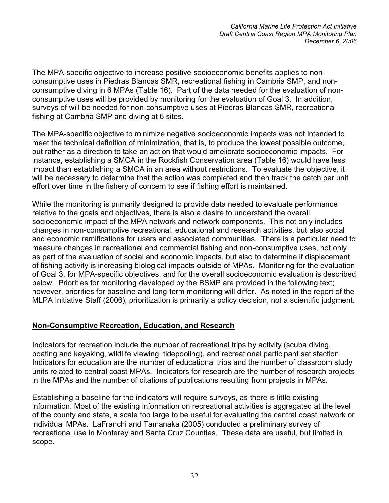The MPA-specific objective to increase positive socioeconomic benefits applies to nonconsumptive uses in Piedras Blancas SMR, recreational fishing in Cambria SMP, and nonconsumptive diving in 6 MPAs (Table 16). Part of the data needed for the evaluation of nonconsumptive uses will be provided by monitoring for the evaluation of Goal 3. In addition, surveys of will be needed for non-consumptive uses at Piedras Blancas SMR, recreational fishing at Cambria SMP and diving at 6 sites.

The MPA-specific objective to minimize negative socioeconomic impacts was not intended to meet the technical definition of minimization, that is, to produce the lowest possible outcome, but rather as a direction to take an action that would ameliorate socioeconomic impacts. For instance, establishing a SMCA in the Rockfish Conservation area (Table 16) would have less impact than establishing a SMCA in an area without restrictions. To evaluate the objective, it will be necessary to determine that the action was completed and then track the catch per unit effort over time in the fishery of concern to see if fishing effort is maintained.

While the monitoring is primarily designed to provide data needed to evaluate performance relative to the goals and objectives, there is also a desire to understand the overall socioeconomic impact of the MPA network and network components. This not only includes changes in non-consumptive recreational, educational and research activities, but also social and economic ramifications for users and associated communities. There is a particular need to measure changes in recreational and commercial fishing and non-consumptive uses, not only as part of the evaluation of social and economic impacts, but also to determine if displacement of fishing activity is increasing biological impacts outside of MPAs. Monitoring for the evaluation of Goal 3, for MPA-specific objectives, and for the overall socioeconomic evaluation is described below. Priorities for monitoring developed by the BSMP are provided in the following text; however, priorities for baseline and long-term monitoring will differ. As noted in the report of the MLPA Initiative Staff (2006), prioritization is primarily a policy decision, not a scientific judgment.

## **Non-Consumptive Recreation, Education, and Research**

Indicators for recreation include the number of recreational trips by activity (scuba diving, boating and kayaking, wildlife viewing, tidepooling), and recreational participant satisfaction. Indicators for education are the number of educational trips and the number of classroom study units related to central coast MPAs. Indicators for research are the number of research projects in the MPAs and the number of citations of publications resulting from projects in MPAs.

Establishing a baseline for the indicators will require surveys, as there is little existing information. Most of the existing information on recreational activities is aggregated at the level of the county and state, a scale too large to be useful for evaluating the central coast network or individual MPAs. LaFranchi and Tamanaka (2005) conducted a preliminary survey of recreational use in Monterey and Santa Cruz Counties. These data are useful, but limited in scope.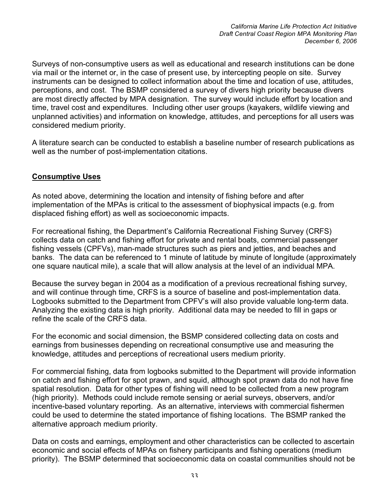Surveys of non-consumptive users as well as educational and research institutions can be done via mail or the internet or, in the case of present use, by intercepting people on site. Survey instruments can be designed to collect information about the time and location of use, attitudes, perceptions, and cost. The BSMP considered a survey of divers high priority because divers are most directly affected by MPA designation. The survey would include effort by location and time, travel cost and expenditures. Including other user groups (kayakers, wildlife viewing and unplanned activities) and information on knowledge, attitudes, and perceptions for all users was considered medium priority.

A literature search can be conducted to establish a baseline number of research publications as well as the number of post-implementation citations.

#### **Consumptive Uses**

As noted above, determining the location and intensity of fishing before and after implementation of the MPAs is critical to the assessment of biophysical impacts (e.g. from displaced fishing effort) as well as socioeconomic impacts.

For recreational fishing, the Department's California Recreational Fishing Survey (CRFS) collects data on catch and fishing effort for private and rental boats, commercial passenger fishing vessels (CPFVs), man-made structures such as piers and jetties, and beaches and banks. The data can be referenced to 1 minute of latitude by minute of longitude (approximately one square nautical mile), a scale that will allow analysis at the level of an individual MPA.

Because the survey began in 2004 as a modification of a previous recreational fishing survey, and will continue through time, CRFS is a source of baseline and post-implementation data. Logbooks submitted to the Department from CPFV's will also provide valuable long-term data. Analyzing the existing data is high priority. Additional data may be needed to fill in gaps or refine the scale of the CRFS data.

For the economic and social dimension, the BSMP considered collecting data on costs and earnings from businesses depending on recreational consumptive use and measuring the knowledge, attitudes and perceptions of recreational users medium priority.

For commercial fishing, data from logbooks submitted to the Department will provide information on catch and fishing effort for spot prawn, and squid, although spot prawn data do not have fine spatial resolution. Data for other types of fishing will need to be collected from a new program (high priority). Methods could include remote sensing or aerial surveys, observers, and/or incentive-based voluntary reporting. As an alternative, interviews with commercial fishermen could be used to determine the stated importance of fishing locations. The BSMP ranked the alternative approach medium priority.

Data on costs and earnings, employment and other characteristics can be collected to ascertain economic and social effects of MPAs on fishery participants and fishing operations (medium priority). The BSMP determined that socioeconomic data on coastal communities should not be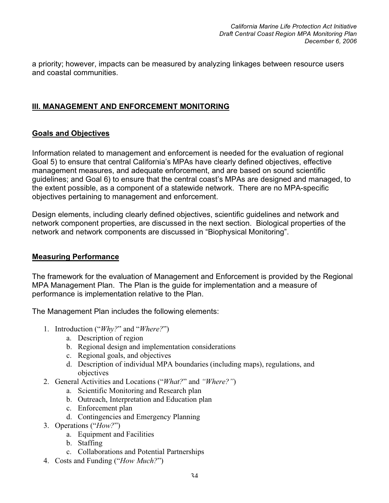a priority; however, impacts can be measured by analyzing linkages between resource users and coastal communities.

## **III. MANAGEMENT AND ENFORCEMENT MONITORING**

## **Goals and Objectives**

Information related to management and enforcement is needed for the evaluation of regional Goal 5) to ensure that central California's MPAs have clearly defined objectives, effective management measures, and adequate enforcement, and are based on sound scientific guidelines; and Goal 6) to ensure that the central coast's MPAs are designed and managed, to the extent possible, as a component of a statewide network. There are no MPA-specific objectives pertaining to management and enforcement.

Design elements, including clearly defined objectives, scientific guidelines and network and network component properties, are discussed in the next section. Biological properties of the network and network components are discussed in "Biophysical Monitoring".

## **Measuring Performance**

The framework for the evaluation of Management and Enforcement is provided by the Regional MPA Management Plan. The Plan is the guide for implementation and a measure of performance is implementation relative to the Plan.

The Management Plan includes the following elements:

- 1. Introduction ("*Why?*" and "*Where?*")
	- a. Description of region
	- b. Regional design and implementation considerations
	- c. Regional goals, and objectives
	- d. Description of individual MPA boundaries (including maps), regulations, and objectives
- 2. General Activities and Locations ("*What?*" and *"Where?"*)
	- a. Scientific Monitoring and Research plan
	- b. Outreach, Interpretation and Education plan
	- c. Enforcement plan
	- d. Contingencies and Emergency Planning
- 3. Operations ("*How?*")
	- a. Equipment and Facilities
	- b. Staffing
	- c. Collaborations and Potential Partnerships
- 4. Costs and Funding ("*How Much?*")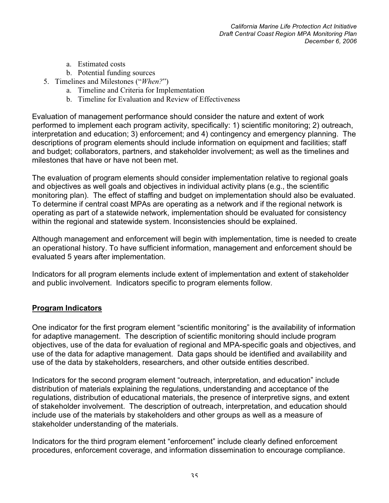- a. Estimated costs
- b. Potential funding sources
- 5. Timelines and Milestones ("*When?*")
	- a. Timeline and Criteria for Implementation
	- b. Timeline for Evaluation and Review of Effectiveness

Evaluation of management performance should consider the nature and extent of work performed to implement each program activity, specifically: 1) scientific monitoring; 2) outreach, interpretation and education; 3) enforcement; and 4) contingency and emergency planning. The descriptions of program elements should include information on equipment and facilities; staff and budget; collaborators, partners, and stakeholder involvement; as well as the timelines and milestones that have or have not been met.

The evaluation of program elements should consider implementation relative to regional goals and objectives as well goals and objectives in individual activity plans (e.g., the scientific monitoring plan). The effect of staffing and budget on implementation should also be evaluated. To determine if central coast MPAs are operating as a network and if the regional network is operating as part of a statewide network, implementation should be evaluated for consistency within the regional and statewide system. Inconsistencies should be explained.

Although management and enforcement will begin with implementation, time is needed to create an operational history. To have sufficient information, management and enforcement should be evaluated 5 years after implementation.

Indicators for all program elements include extent of implementation and extent of stakeholder and public involvement. Indicators specific to program elements follow.

#### **Program Indicators**

One indicator for the first program element "scientific monitoring" is the availability of information for adaptive management. The description of scientific monitoring should include program objectives, use of the data for evaluation of regional and MPA-specific goals and objectives, and use of the data for adaptive management. Data gaps should be identified and availability and use of the data by stakeholders, researchers, and other outside entities described.

Indicators for the second program element "outreach, interpretation, and education" include distribution of materials explaining the regulations, understanding and acceptance of the regulations, distribution of educational materials, the presence of interpretive signs, and extent of stakeholder involvement. The description of outreach, interpretation, and education should include use of the materials by stakeholders and other groups as well as a measure of stakeholder understanding of the materials.

Indicators for the third program element "enforcement" include clearly defined enforcement procedures, enforcement coverage, and information dissemination to encourage compliance.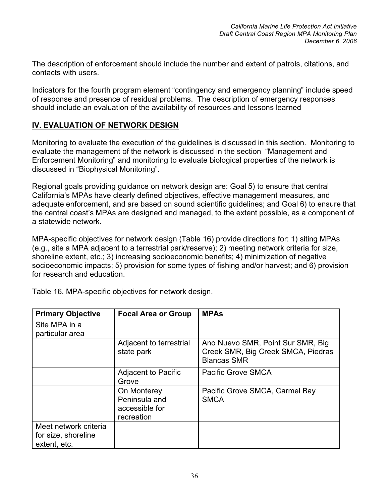The description of enforcement should include the number and extent of patrols, citations, and contacts with users.

Indicators for the fourth program element "contingency and emergency planning" include speed of response and presence of residual problems. The description of emergency responses should include an evaluation of the availability of resources and lessons learned

## **IV. EVALUATION OF NETWORK DESIGN**

Monitoring to evaluate the execution of the guidelines is discussed in this section. Monitoring to evaluate the management of the network is discussed in the section "Management and Enforcement Monitoring" and monitoring to evaluate biological properties of the network is discussed in "Biophysical Monitoring".

Regional goals providing guidance on network design are: Goal 5) to ensure that central California's MPAs have clearly defined objectives, effective management measures, and adequate enforcement, and are based on sound scientific guidelines; and Goal 6) to ensure that the central coast's MPAs are designed and managed, to the extent possible, as a component of a statewide network.

MPA-specific objectives for network design (Table 16) provide directions for: 1) siting MPAs (e.g., site a MPA adjacent to a terrestrial park/reserve); 2) meeting network criteria for size, shoreline extent, etc.; 3) increasing socioeconomic benefits; 4) minimization of negative socioeconomic impacts; 5) provision for some types of fishing and/or harvest; and 6) provision for research and education.

| <b>Primary Objective</b> | <b>Focal Area or Group</b> | <b>MPAs</b>                        |
|--------------------------|----------------------------|------------------------------------|
| Site MPA in a            |                            |                                    |
| particular area          |                            |                                    |
|                          | Adjacent to terrestrial    | Ano Nuevo SMR, Point Sur SMR, Big  |
|                          | state park                 | Creek SMR, Big Creek SMCA, Piedras |
|                          |                            | <b>Blancas SMR</b>                 |
|                          | <b>Adjacent to Pacific</b> | <b>Pacific Grove SMCA</b>          |
|                          | Grove                      |                                    |
|                          | On Monterey                | Pacific Grove SMCA, Carmel Bay     |
|                          | Peninsula and              | <b>SMCA</b>                        |
|                          | accessible for             |                                    |
|                          | recreation                 |                                    |
| Meet network criteria    |                            |                                    |
| for size, shoreline      |                            |                                    |
| extent, etc.             |                            |                                    |

Table 16. MPA-specific objectives for network design.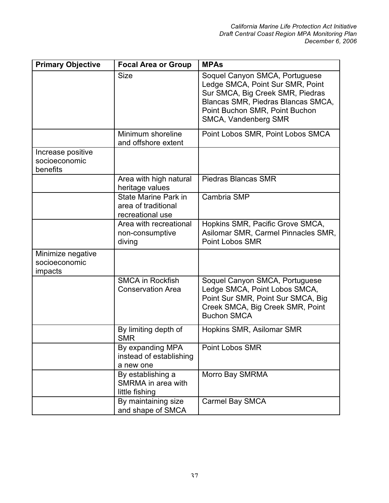| <b>Primary Objective</b>                       | <b>Focal Area or Group</b>                                      | <b>MPAs</b>                                                                                                                                                                                            |
|------------------------------------------------|-----------------------------------------------------------------|--------------------------------------------------------------------------------------------------------------------------------------------------------------------------------------------------------|
|                                                | <b>Size</b>                                                     | Soquel Canyon SMCA, Portuguese<br>Ledge SMCA, Point Sur SMR, Point<br>Sur SMCA, Big Creek SMR, Piedras<br>Blancas SMR, Piedras Blancas SMCA,<br>Point Buchon SMR, Point Buchon<br>SMCA, Vandenberg SMR |
|                                                | Minimum shoreline<br>and offshore extent                        | Point Lobos SMR, Point Lobos SMCA                                                                                                                                                                      |
| Increase positive<br>socioeconomic<br>benefits |                                                                 |                                                                                                                                                                                                        |
|                                                | Area with high natural<br>heritage values                       | <b>Piedras Blancas SMR</b>                                                                                                                                                                             |
|                                                | State Marine Park in<br>area of traditional<br>recreational use | Cambria SMP                                                                                                                                                                                            |
|                                                | Area with recreational<br>non-consumptive<br>diving             | Hopkins SMR, Pacific Grove SMCA,<br>Asilomar SMR, Carmel Pinnacles SMR,<br>Point Lobos SMR                                                                                                             |
| Minimize negative<br>socioeconomic<br>impacts  |                                                                 |                                                                                                                                                                                                        |
|                                                | <b>SMCA in Rockfish</b><br><b>Conservation Area</b>             | Soquel Canyon SMCA, Portuguese<br>Ledge SMCA, Point Lobos SMCA,<br>Point Sur SMR, Point Sur SMCA, Big<br>Creek SMCA, Big Creek SMR, Point<br><b>Buchon SMCA</b>                                        |
|                                                | By limiting depth of<br><b>SMR</b>                              | Hopkins SMR, Asilomar SMR                                                                                                                                                                              |
|                                                | By expanding MPA<br>instead of establishing<br>a new one        | <b>Point Lobos SMR</b>                                                                                                                                                                                 |
|                                                | By establishing a<br>SMRMA in area with<br>little fishing       | Morro Bay SMRMA                                                                                                                                                                                        |
|                                                | By maintaining size<br>and shape of SMCA                        | <b>Carmel Bay SMCA</b>                                                                                                                                                                                 |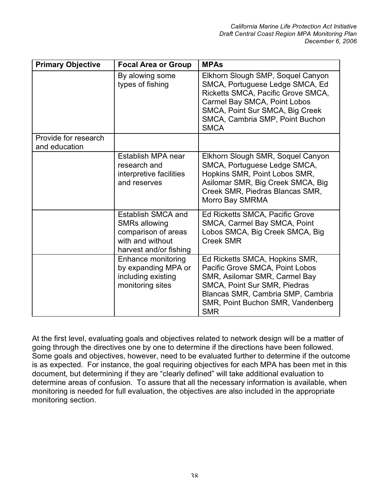| <b>Primary Objective</b>              | <b>Focal Area or Group</b>                                                                                      | <b>MPAs</b>                                                                                                                                                                                                                     |
|---------------------------------------|-----------------------------------------------------------------------------------------------------------------|---------------------------------------------------------------------------------------------------------------------------------------------------------------------------------------------------------------------------------|
|                                       | By alowing some<br>types of fishing                                                                             | Elkhorn Slough SMP, Soquel Canyon<br>SMCA, Portuguese Ledge SMCA, Ed<br>Ricketts SMCA, Pacific Grove SMCA,<br>Carmel Bay SMCA, Point Lobos<br>SMCA, Point Sur SMCA, Big Creek<br>SMCA, Cambria SMP, Point Buchon<br><b>SMCA</b> |
| Provide for research<br>and education |                                                                                                                 |                                                                                                                                                                                                                                 |
|                                       | Establish MPA near<br>research and<br>interpretive facilities<br>and reserves                                   | Elkhorn Slough SMR, Soquel Canyon<br>SMCA, Portuguese Ledge SMCA,<br>Hopkins SMR, Point Lobos SMR,<br>Asilomar SMR, Big Creek SMCA, Big<br>Creek SMR, Piedras Blancas SMR,<br>Morro Bay SMRMA                                   |
|                                       | Establish SMCA and<br><b>SMRs allowing</b><br>comparison of areas<br>with and without<br>harvest and/or fishing | Ed Ricketts SMCA, Pacific Grove<br>SMCA, Carmel Bay SMCA, Point<br>Lobos SMCA, Big Creek SMCA, Big<br><b>Creek SMR</b>                                                                                                          |
|                                       | Enhance monitoring<br>by expanding MPA or<br>including existing<br>monitoring sites                             | Ed Ricketts SMCA, Hopkins SMR,<br>Pacific Grove SMCA, Point Lobos<br>SMR, Asilomar SMR, Carmel Bay<br>SMCA, Point Sur SMR, Piedras<br>Blancas SMR, Cambria SMP, Cambria<br>SMR, Point Buchon SMR, Vandenberg<br><b>SMR</b>      |

At the first level, evaluating goals and objectives related to network design will be a matter of going through the directives one by one to determine if the directions have been followed. Some goals and objectives, however, need to be evaluated further to determine if the outcome is as expected. For instance, the goal requiring objectives for each MPA has been met in this document, but determining if they are "clearly defined" will take additional evaluation to determine areas of confusion. To assure that all the necessary information is available, when monitoring is needed for full evaluation, the objectives are also included in the appropriate monitoring section.